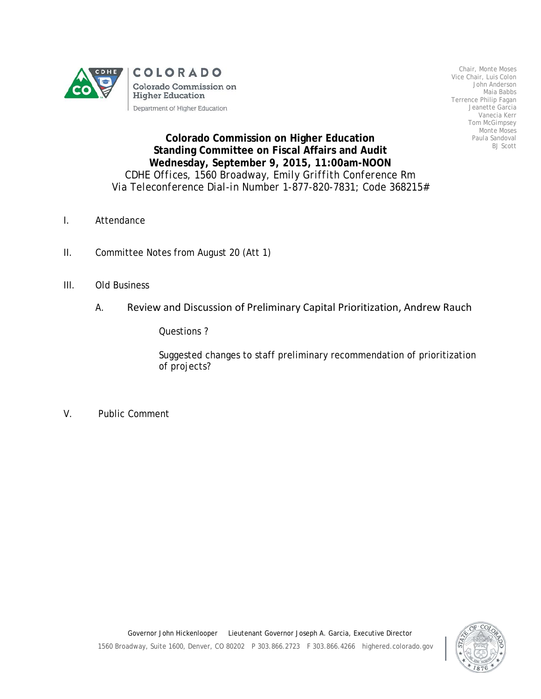

Chair, Monte Moses Vice Chair, Luis Colon John Anderson Maia Babbs Terrence Philip Fagan Jeanette Garcia Vanecia Kerr Tom McGimpsey Monte Moses Paula Sandoval BJ Scott

## **Colorado Commission on Higher Education Standing Committee on Fiscal Affairs and Audit Wednesday, September 9, 2015, 11:00am-NOON** *CDHE Offices, 1560 Broadway, Emily Griffith Conference Rm Via Teleconference Dial-in Number 1-877-820-7831; Code 368215#*

- I. Attendance
- II. Committee Notes from August 20 (Att 1)
- III. Old Business
	- A. Review and Discussion of Preliminary Capital Prioritization, Andrew Rauch

Questions ?

Suggested changes to staff preliminary recommendation of prioritization of projects?

V. Public Comment

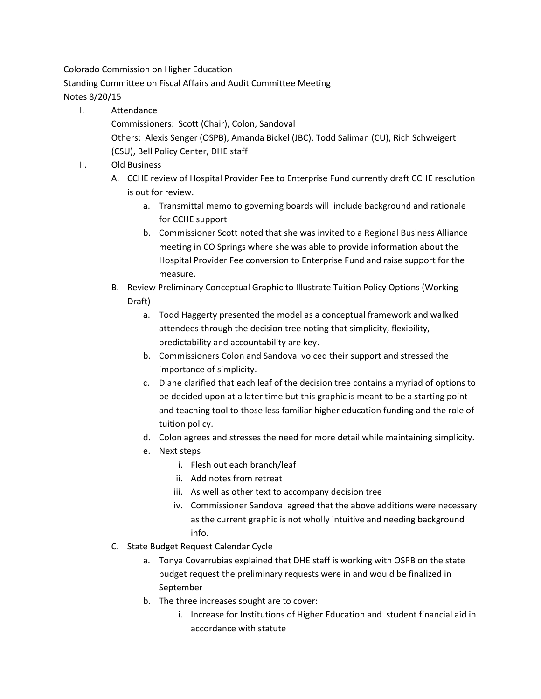Colorado Commission on Higher Education

Standing Committee on Fiscal Affairs and Audit Committee Meeting

## Notes 8/20/15

I. Attendance

Commissioners: Scott (Chair), Colon, Sandoval Others: Alexis Senger (OSPB), Amanda Bickel (JBC), Todd Saliman (CU), Rich Schweigert (CSU), Bell Policy Center, DHE staff

- II. Old Business
	- A. CCHE review of Hospital Provider Fee to Enterprise Fund currently draft CCHE resolution is out for review.
		- a. Transmittal memo to governing boards will include background and rationale for CCHE support
		- b. Commissioner Scott noted that she was invited to a Regional Business Alliance meeting in CO Springs where she was able to provide information about the Hospital Provider Fee conversion to Enterprise Fund and raise support for the measure.
	- B. Review Preliminary Conceptual Graphic to Illustrate Tuition Policy Options (Working Draft)
		- a. Todd Haggerty presented the model as a conceptual framework and walked attendees through the decision tree noting that simplicity, flexibility, predictability and accountability are key.
		- b. Commissioners Colon and Sandoval voiced their support and stressed the importance of simplicity.
		- c. Diane clarified that each leaf of the decision tree contains a myriad of options to be decided upon at a later time but this graphic is meant to be a starting point and teaching tool to those less familiar higher education funding and the role of tuition policy.
		- d. Colon agrees and stresses the need for more detail while maintaining simplicity.
		- e. Next steps
			- i. Flesh out each branch/leaf
			- ii. Add notes from retreat
			- iii. As well as other text to accompany decision tree
			- iv. Commissioner Sandoval agreed that the above additions were necessary as the current graphic is not wholly intuitive and needing background info.
	- C. State Budget Request Calendar Cycle
		- a. Tonya Covarrubias explained that DHE staff is working with OSPB on the state budget request the preliminary requests were in and would be finalized in September
		- b. The three increases sought are to cover:
			- i. Increase for Institutions of Higher Education and student financial aid in accordance with statute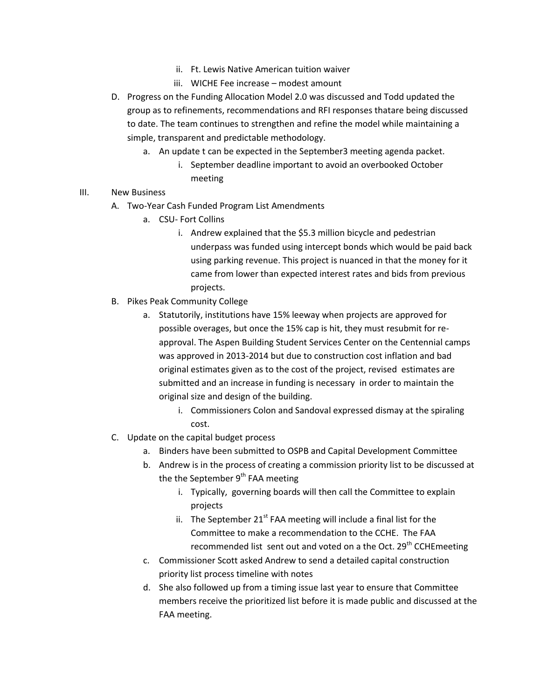- ii. Ft. Lewis Native American tuition waiver
- iii. WICHE Fee increase modest amount
- D. Progress on the Funding Allocation Model 2.0 was discussed and Todd updated the group as to refinements, recommendations and RFI responses thatare being discussed to date. The team continues to strengthen and refine the model while maintaining a simple, transparent and predictable methodology.
	- a. An update t can be expected in the September3 meeting agenda packet.
		- i. September deadline important to avoid an overbooked October meeting
- III. New Business
	- A. Two-Year Cash Funded Program List Amendments
		- a. CSU- Fort Collins
			- i. Andrew explained that the \$5.3 million bicycle and pedestrian underpass was funded using intercept bonds which would be paid back using parking revenue. This project is nuanced in that the money for it came from lower than expected interest rates and bids from previous projects.
	- B. Pikes Peak Community College
		- a. Statutorily, institutions have 15% leeway when projects are approved for possible overages, but once the 15% cap is hit, they must resubmit for reapproval. The Aspen Building Student Services Center on the Centennial camps was approved in 2013-2014 but due to construction cost inflation and bad original estimates given as to the cost of the project, revised estimates are submitted and an increase in funding is necessary in order to maintain the original size and design of the building.
			- i. Commissioners Colon and Sandoval expressed dismay at the spiraling cost.
	- C. Update on the capital budget process
		- a. Binders have been submitted to OSPB and Capital Development Committee
		- b. Andrew is in the process of creating a commission priority list to be discussed at the the September  $9<sup>th</sup>$  FAA meeting
			- i. Typically, governing boards will then call the Committee to explain projects
			- ii. The September  $21^{st}$  FAA meeting will include a final list for the Committee to make a recommendation to the CCHE. The FAA recommended list sent out and voted on a the Oct. 29<sup>th</sup> CCHEmeeting
		- c. Commissioner Scott asked Andrew to send a detailed capital construction priority list process timeline with notes
		- d. She also followed up from a timing issue last year to ensure that Committee members receive the prioritized list before it is made public and discussed at the FAA meeting.